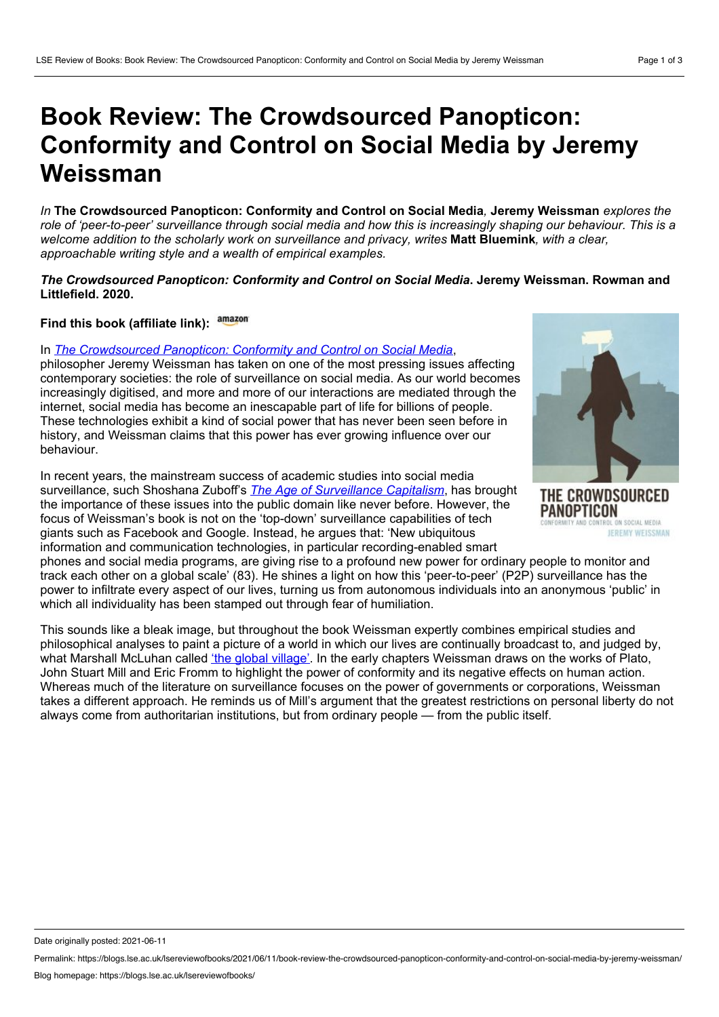# **Book Review: The Crowdsourced Panopticon: Conformity and Control on Social Media by Jeremy Weissman**

*In* **The Crowdsourced Panopticon: Conformity and Control on Social Media***,* **Jeremy Weissman** *explores the* role of 'peer-to-peer' surveillance through social media and how this is increasingly shaping our behaviour. This is a *welcome addition to the scholarly work on surveillance and privacy, writes* **Matt Bluemink***, with a clear, approachable writing style and a wealth of empirical examples.*

## *The Crowdsourced Panopticon: Conformity and Control on Social Media***. Jeremy Weissman. Rowman and Littlefield. 2020.**

## **Find this book (affiliate link):**

#### In *The [Crowdsourced](https://rowman.com/ISBN/9781538144312/The-Crowdsourced-Panopticon-Conformity-and-Control-on-Social-Media) Panopticon: Conformity and Control on Social Media*,

philosopher Jeremy Weissman has taken on one of the most pressing issues affecting contemporary societies: the role of surveillance on social media. As our world becomes increasingly digitised, and more and more of our interactions are mediated through the internet, social media has become an inescapable part of life for billions of people. These technologies exhibit a kind of social power that has never been seen before in history, and Weissman claims that this power has ever growing influence over our behaviour.

In recent years, the mainstream success of academic studies into social media surveillance, such Shoshana Zuboff's *The Age of [Surveillance](https://blogs.lse.ac.uk/lsereviewofbooks/2019/11/04/book-review-the-age-of-surveillance-capitalism-the-fight-for-the-future-at-the-new-frontier-of-power-by-shoshana-zuboff/) Capitalism*, has brought the importance of these issues into the public domain like never before. However, the focus of Weissman's book is not on the 'top-down' surveillance capabilities of tech giants such as Facebook and Google. Instead, he argues that: 'New ubiquitous information and communication technologies, in particular recording-enabled smart

phones and social media programs, are giving rise to a profound new power for ordinary people to monitor and track each other on a global scale' (83). He shines a light on how this 'peer-to-peer' (P2P) surveillance has the power to infiltrate every aspect of our lives, turning us from autonomous individuals into an anonymous 'public' in which all individuality has been stamped out through fear of humiliation.

This sounds like a bleak image, but throughout the book Weissman expertly combines empirical studies and philosophical analyses to paint a picture of a world in which our lives are continually broadcast to, and judged by, what Marshall McLuhan called *'the global [village'](https://global.oup.com/academic/product/the-global-village-9780195054446?lang=en&cc=lk)*. In the early chapters Weissman draws on the works of Plato, John Stuart Mill and Eric Fromm to highlight the power of conformity and its negative effects on human action. Whereas much of the literature on surveillance focuses on the power of governments or corporations, Weissman takes a different approach. He reminds us of Mill's argument that the greatest restrictions on personal liberty do not always come from authoritarian institutions, but from ordinary people — from the public itself.



THE CROWDSOURCED PANOPTICON SOCIAL MEDIA JEREMY WEISSMAN

Date originally posted: 2021-06-11

Permalink: https://blogs.lse.ac.uk/lsereviewofbooks/2021/06/11/book-review-the-crowdsourced-panopticon-conformity-and-control-on-social-media-by-jeremy-weissman/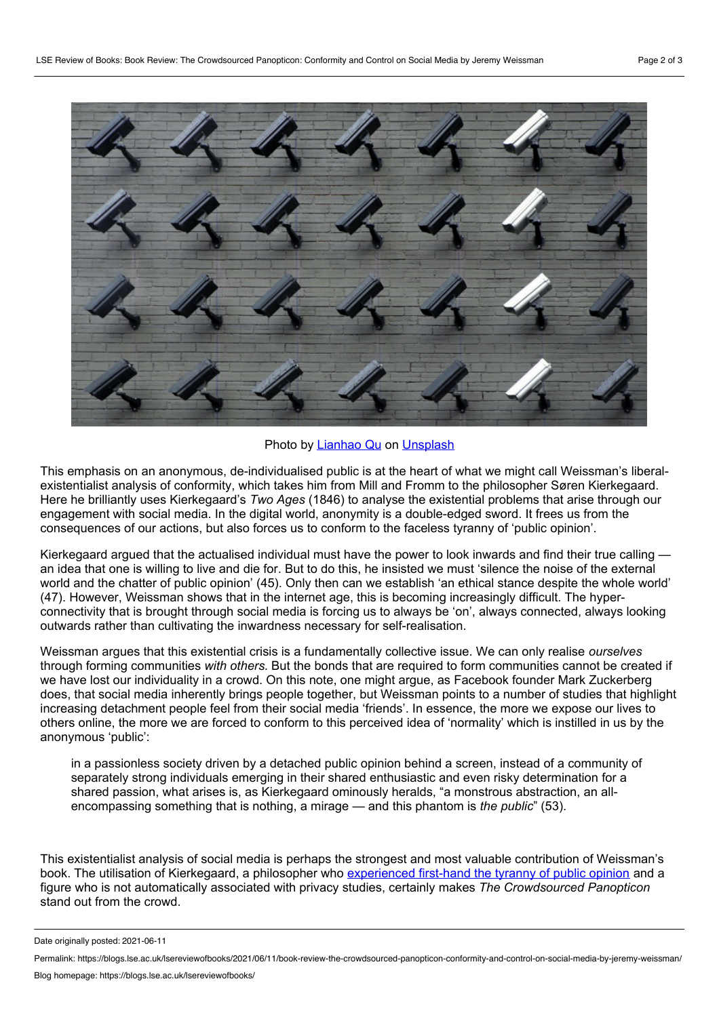

### Photo by [Lianhao](https://unsplash.com/@lianhao?utm_source=unsplash&utm_medium=referral&utm_content=creditCopyText) Qu on [Unsplash](https://unsplash.com/?utm_source=unsplash&utm_medium=referral&utm_content=creditCopyText)

This emphasis on an anonymous, de-individualised public is at the heart of what we might call Weissman's liberal existentialist analysis of conformity, which takes him from Mill and Fromm to the philosopher Søren Kierkegaard. Here he brilliantly uses Kierkegaard's *Two Ages* (1846) to analyse the existential problems that arise through our engagement with social media. In the digital world, anonymity is a double-edged sword. It frees us from the consequences of our actions, but also forces us to conform to the faceless tyranny of 'public opinion'.

Kierkegaard argued that the actualised individual must have the power to look inwards and find their true calling an idea that one is willing to live and die for. But to do this, he insisted we must 'silence the noise of the external world and the chatter of public opinion' (45). Only then can we establish 'an ethical stance despite the whole world' (47). However, Weissman shows that in the internet age, this is becoming increasingly difficult. The hyper connectivity that is brought through social media is forcing us to always be 'on', always connected, always looking outwards rather than cultivating the inwardness necessary for self-realisation.

Weissman argues that this existential crisis is a fundamentally collective issue. We can only realise *ourselves* through forming communities *with others.* But the bonds that are required to form communities cannot be created if we have lost our individuality in a crowd. On this note, one might argue, as Facebook founder Mark Zuckerberg does, that social media inherently brings people together, but Weissman points to a number of studies that highlight increasing detachment people feel from their social media 'friends'. In essence, the more we expose our lives to others online, the more we are forced to conform to this perceived idea of 'normality' which is instilled in us by the anonymous 'public':

in a passionless society driven by a detached public opinion behind a screen, instead of a community of separately strong individuals emerging in their shared enthusiastic and even risky determination for a shared passion, what arises is, as Kierkegaard ominously heralds, "a monstrous abstraction, an all encompassing something that is nothing, a mirage — and this phantom is *the public*" (53).

This existentialist analysis of social media is perhaps the strongest and most valuable contribution of Weissman's book. The utilisation of Kierkegaard, a philosopher who [experienced](https://www.researchgate.net/publication/345789582_Title_Soren_Kierkegaard_and_the_Corsair_Affair_Public_Shaming_and_the_Assertion_of_the_Individual) first-hand the tyranny of public opinion and a figure who is not automatically associated with privacy studies, certainly makes *The Crowdsourced Panopticon* stand out from the crowd.

Date originally posted: 2021-06-11

Permalink: https://blogs.lse.ac.uk/lsereviewofbooks/2021/06/11/book-review-the-crowdsourced-panopticon-conformity-and-control-on-social-media-by-jeremy-weissman/